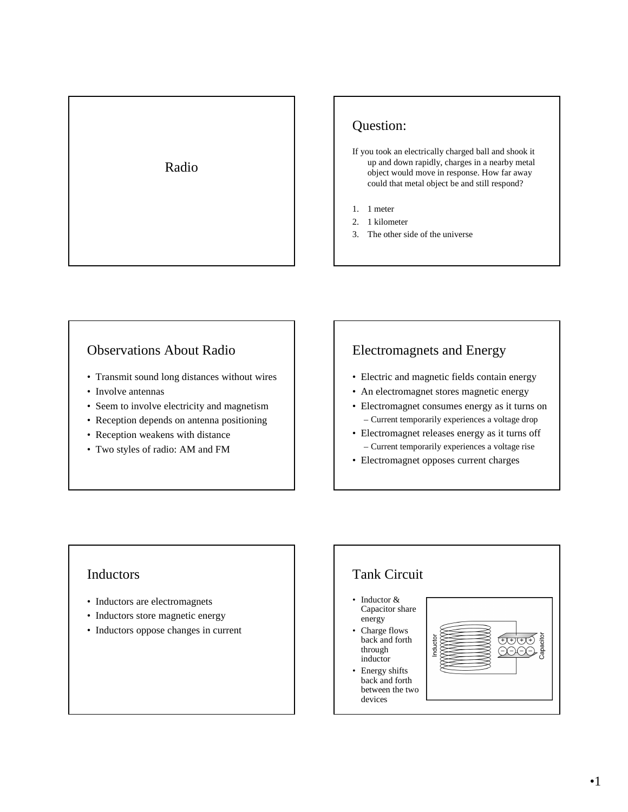

# Question:

- If you took an electrically charged ball and shook it up and down rapidly, charges in a nearby metal object would move in response. How far away could that metal object be and still respond?
- 1. 1 meter
- 2. 1 kilometer
- 3. The other side of the universe

## Observations About Radio

- Transmit sound long distances without wires
- Involve antennas
- Seem to involve electricity and magnetism
- Reception depends on antenna positioning
- Reception weakens with distance
- Two styles of radio: AM and FM

## Electromagnets and Energy

- Electric and magnetic fields contain energy
- An electromagnet stores magnetic energy
- Electromagnet consumes energy as it turns on – Current temporarily experiences a voltage drop
- Electromagnet releases energy as it turns off – Current temporarily experiences a voltage rise
- Electromagnet opposes current charges

### Inductors

- Inductors are electromagnets
- Inductors store magnetic energy
- Inductors oppose changes in current

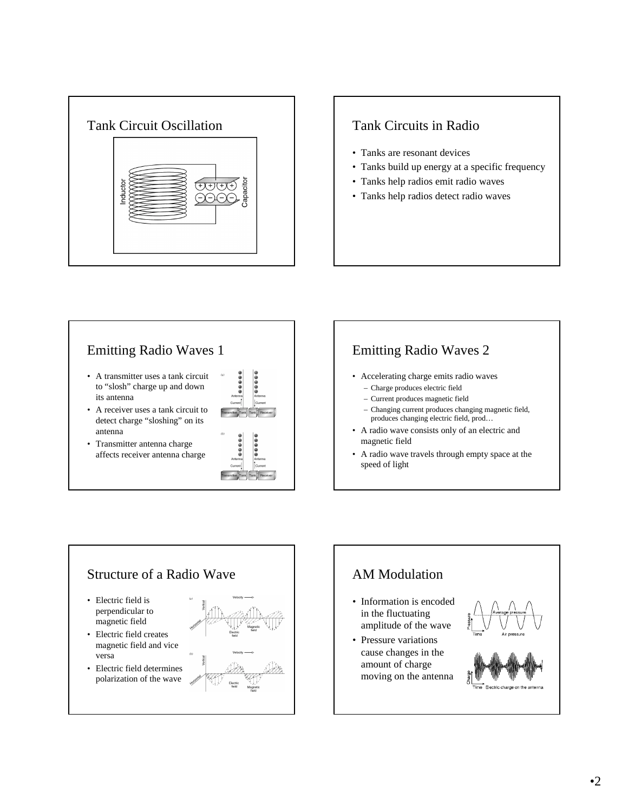

- Tanks are resonant devices
- Tanks build up energy at a specific frequency
- Tanks help radios emit radio waves
- Tanks help radios detect radio waves



- A transmitter uses a tank circuit to "slosh" charge up and down its antenna
- A receiver uses a tank circuit to detect charge "sloshing" on its antenna
- Transmitter antenna charge affects receiver antenna charge



# Emitting Radio Waves 2

- Accelerating charge emits radio waves
	- Charge produces electric field – Current produces magnetic field
	- Changing current produces changing magnetic field, produces changing electric field, prod…
- A radio wave consists only of an electric and magnetic field
- A radio wave travels through empty space at the speed of light